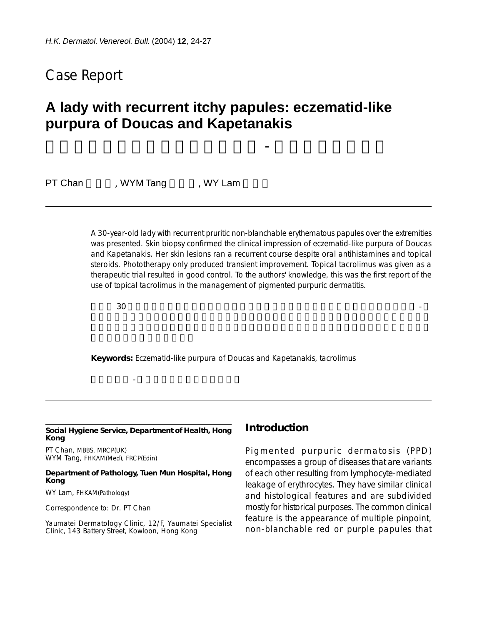## Case Report

# **A lady with recurrent itchy papules: eczematid-like purpura of Doucas and Kapetanakis**

一女性患者之復發性癢性丘疹:道 - 凱二氏濕疹樣紫癜

PT Chan WYM Tang WY Lam

A 30-year-old lady with recurrent pruritic non-blanchable erythematous papules over the extremities was presented. Skin biopsy confirmed the clinical impression of eczematid-like purpura of Doucas and Kapetanakis. Her skin lesions ran a recurrent course despite oral antihistamines and topical steroids. Phototherapy only produced transient improvement. Topical tacrolimus was given as a therapeutic trial resulted in good control. To the authors' knowledge, this was the first report of the use of topical tacrolimus in the management of pigmented purpuric dermatitis.

 $30$ 

**Keywords:** Eczematid-like purpura of Doucas and Kapetanakis, tacrolimus

#### **Social Hygiene Service, Department of Health, Hong Kong**

關鍵詞: - 凱二氏濕疹樣紫癜,他克莫司

PT Chan, MBBS, MRCP(UK) WYM Tang, FHKAM(Med), FRCP(Edin)

#### **Department of Pathology, Tuen Mun Hospital, Hong Kong**

WY Lam, FHKAM(Pathology)

Correspondence to: Dr. PT Chan

Yaumatei Dermatology Clinic, 12/F, Yaumatei Specialist Clinic, 143 Battery Street, Kowloon, Hong Kong

### **Introduction**

Pigmented purpuric dermatosis (PPD) encompasses a group of diseases that are variants of each other resulting from lymphocyte-mediated leakage of erythrocytes. They have similar clinical and histological features and are subdivided mostly for historical purposes. The common clinical feature is the appearance of multiple pinpoint, non-blanchable red or purple papules that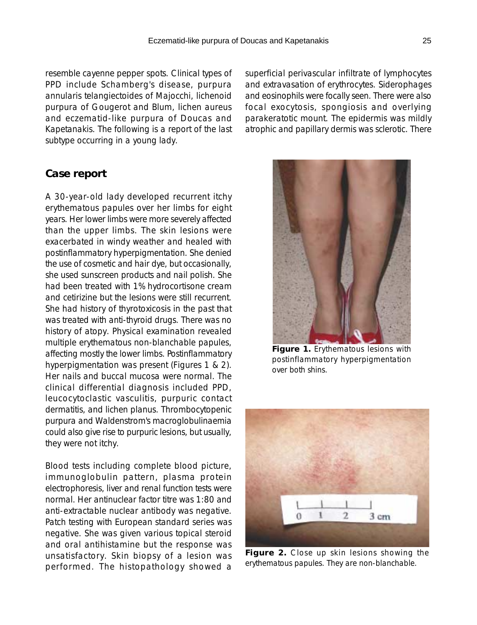resemble cayenne pepper spots. Clinical types of PPD include Schamberg's disease, purpura annularis telangiectoides of Majocchi, lichenoid purpura of Gougerot and Blum, lichen aureus and eczematid-like purpura of Doucas and Kapetanakis. The following is a report of the last subtype occurring in a young lady.

**Case report**

A 30-year-old lady developed recurrent itchy erythematous papules over her limbs for eight years. Her lower limbs were more severely affected than the upper limbs. The skin lesions were exacerbated in windy weather and healed with postinflammatory hyperpigmentation. She denied the use of cosmetic and hair dye, but occasionally, she used sunscreen products and nail polish. She had been treated with 1% hydrocortisone cream and cetirizine but the lesions were still recurrent. She had history of thyrotoxicosis in the past that was treated with anti-thyroid drugs. There was no history of atopy. Physical examination revealed multiple erythematous non-blanchable papules, affecting mostly the lower limbs. Postinflammatory hyperpigmentation was present (Figures 1 & 2). Her nails and buccal mucosa were normal. The clinical differential diagnosis included PPD, leucocytoclastic vasculitis, purpuric contact dermatitis, and lichen planus. Thrombocytopenic purpura and Waldenstrom's macroglobulinaemia could also give rise to purpuric lesions, but usually, they were not itchy.

Blood tests including complete blood picture, immunoglobulin pattern, plasma protein electrophoresis, liver and renal function tests were normal. Her antinuclear factor titre was 1:80 and anti-extractable nuclear antibody was negative. Patch testing with European standard series was negative. She was given various topical steroid and oral antihistamine but the response was unsatisfactory. Skin biopsy of a lesion was performed. The histopathology showed a superficial perivascular infiltrate of lymphocytes and extravasation of erythrocytes. Siderophages and eosinophils were focally seen. There were also focal exocytosis, spongiosis and overlying parakeratotic mount. The epidermis was mildly atrophic and papillary dermis was sclerotic. There



**Figure 1.** Erythematous lesions with postinflammatory hyperpigmentation over both shins.



**Figure 2.** Close up skin lesions showing the erythematous papules. They are non-blanchable.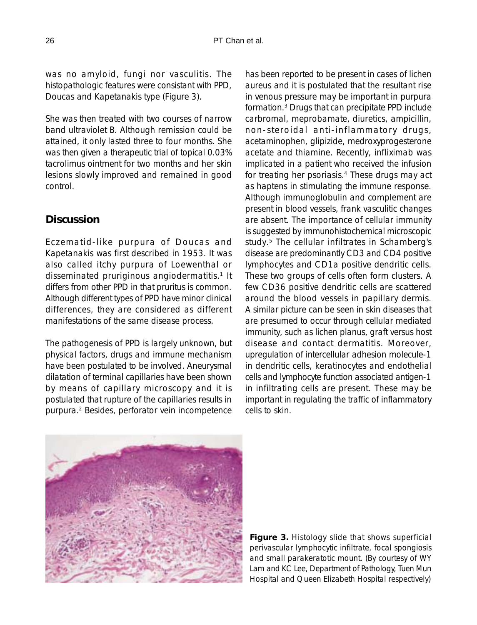was no amyloid, fungi nor vasculitis. The histopathologic features were consistant with PPD, Doucas and Kapetanakis type (Figure 3).

She was then treated with two courses of narrow band ultraviolet B. Although remission could be attained, it only lasted three to four months. She was then given a therapeutic trial of topical 0.03% tacrolimus ointment for two months and her skin lesions slowly improved and remained in good control.

## **Discussion**

Eczematid-like purpura of Doucas and Kapetanakis was first described in 1953. It was also called itchy purpura of Loewenthal or disseminated pruriginous angiodermatitis.<sup>1</sup> It differs from other PPD in that pruritus is common. Although different types of PPD have minor clinical differences, they are considered as different manifestations of the same disease process.

The pathogenesis of PPD is largely unknown, but physical factors, drugs and immune mechanism have been postulated to be involved. Aneurysmal dilatation of terminal capillaries have been shown by means of capillary microscopy and it is postulated that rupture of the capillaries results in purpura.2 Besides, perforator vein incompetence has been reported to be present in cases of lichen aureus and it is postulated that the resultant rise in venous pressure may be important in purpura formation.3 Drugs that can precipitate PPD include carbromal, meprobamate, diuretics, ampicillin, non-steroidal anti-inflammatory drugs, acetaminophen, glipizide, medroxyprogesterone acetate and thiamine. Recently, infliximab was implicated in a patient who received the infusion for treating her psoriasis.<sup>4</sup> These drugs may act as haptens in stimulating the immune response. Although immunoglobulin and complement are present in blood vessels, frank vasculitic changes are absent. The importance of cellular immunity is suggested by immunohistochemical microscopic study.5 The cellular infiltrates in Schamberg's disease are predominantly CD3 and CD4 positive lymphocytes and CD1a positive dendritic cells. These two groups of cells often form clusters. A few CD36 positive dendritic cells are scattered around the blood vessels in papillary dermis. A similar picture can be seen in skin diseases that are presumed to occur through cellular mediated immunity, such as lichen planus, graft versus host disease and contact dermatitis. Moreover, upregulation of intercellular adhesion molecule-1 in dendritic cells, keratinocytes and endothelial cells and lymphocyte function associated antigen-1 in infiltrating cells are present. These may be important in regulating the traffic of inflammatory cells to skin.



**Figure 3.** Histology slide that shows superficial perivascular lymphocytic infiltrate, focal spongiosis and small parakeratotic mount. (By courtesy of WY Lam and KC Lee, Department of Pathology, Tuen Mun Hospital and Queen Elizabeth Hospital respectively)